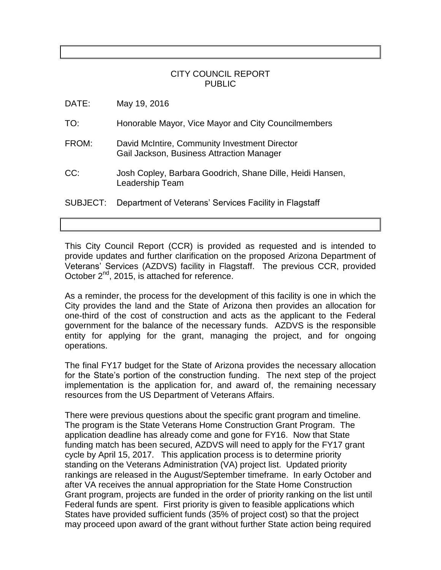## CITY COUNCIL REPORT PUBLIC

| May 19, 2016<br>DATE: |
|-----------------------|
|-----------------------|

TO: Honorable Mayor, Vice Mayor and City Councilmembers

- FROM: David McIntire, Community Investment Director Gail Jackson, Business Attraction Manager
- CC: Josh Copley, Barbara Goodrich, Shane Dille, Heidi Hansen, Leadership Team
- SUBJECT: Department of Veterans' Services Facility in Flagstaff

This City Council Report (CCR) is provided as requested and is intended to provide updates and further clarification on the proposed Arizona Department of Veterans' Services (AZDVS) facility in Flagstaff. The previous CCR, provided October  $2^{nd}$ , 2015, is attached for reference.

As a reminder, the process for the development of this facility is one in which the City provides the land and the State of Arizona then provides an allocation for one-third of the cost of construction and acts as the applicant to the Federal government for the balance of the necessary funds. AZDVS is the responsible entity for applying for the grant, managing the project, and for ongoing operations.

The final FY17 budget for the State of Arizona provides the necessary allocation for the State's portion of the construction funding. The next step of the project implementation is the application for, and award of, the remaining necessary resources from the US Department of Veterans Affairs.

There were previous questions about the specific grant program and timeline. The program is the State Veterans Home Construction Grant Program. The application deadline has already come and gone for FY16. Now that State funding match has been secured, AZDVS will need to apply for the FY17 grant cycle by April 15, 2017. This application process is to determine priority standing on the Veterans Administration (VA) project list. Updated priority rankings are released in the August/September timeframe. In early October and after VA receives the annual appropriation for the State Home Construction Grant program, projects are funded in the order of priority ranking on the list until Federal funds are spent. First priority is given to feasible applications which States have provided sufficient funds (35% of project cost) so that the project may proceed upon award of the grant without further State action being required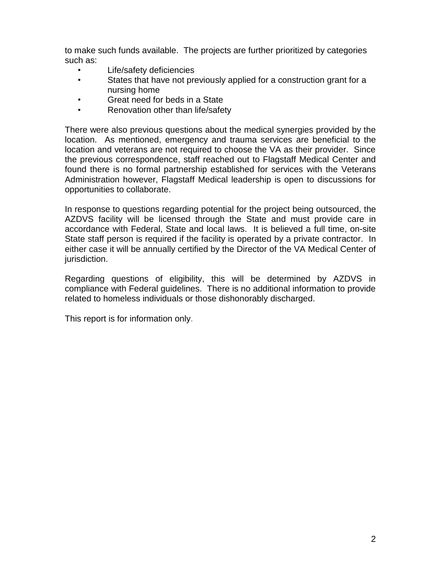to make such funds available. The projects are further prioritized by categories such as:

- Life/safety deficiencies
- States that have not previously applied for a construction grant for a nursing home
- Great need for beds in a State
- Renovation other than life/safety

There were also previous questions about the medical synergies provided by the location. As mentioned, emergency and trauma services are beneficial to the location and veterans are not required to choose the VA as their provider. Since the previous correspondence, staff reached out to Flagstaff Medical Center and found there is no formal partnership established for services with the Veterans Administration however, Flagstaff Medical leadership is open to discussions for opportunities to collaborate.

In response to questions regarding potential for the project being outsourced, the AZDVS facility will be licensed through the State and must provide care in accordance with Federal, State and local laws. It is believed a full time, on-site State staff person is required if the facility is operated by a private contractor. In either case it will be annually certified by the Director of the VA Medical Center of jurisdiction.

Regarding questions of eligibility, this will be determined by AZDVS in compliance with Federal guidelines. There is no additional information to provide related to homeless individuals or those dishonorably discharged.

This report is for information only.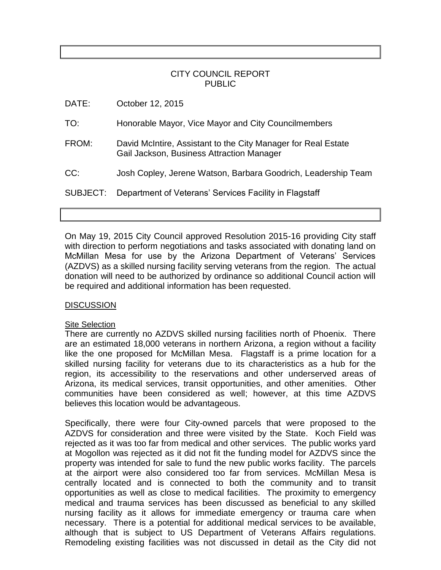## CITY COUNCIL REPORT PUBLIC

| DATE:    | October 12, 2015                                                                                           |
|----------|------------------------------------------------------------------------------------------------------------|
| TO:      | Honorable Mayor, Vice Mayor and City Councilmembers                                                        |
| FROM:    | David McIntire, Assistant to the City Manager for Real Estate<br>Gail Jackson, Business Attraction Manager |
| CC:      | Josh Copley, Jerene Watson, Barbara Goodrich, Leadership Team                                              |
| SUBJECT: | Department of Veterans' Services Facility in Flagstaff                                                     |

On May 19, 2015 City Council approved Resolution 2015-16 providing City staff with direction to perform negotiations and tasks associated with donating land on McMillan Mesa for use by the Arizona Department of Veterans' Services (AZDVS) as a skilled nursing facility serving veterans from the region. The actual donation will need to be authorized by ordinance so additional Council action will be required and additional information has been requested.

## DISCUSSION

#### **Site Selection**

There are currently no AZDVS skilled nursing facilities north of Phoenix. There are an estimated 18,000 veterans in northern Arizona, a region without a facility like the one proposed for McMillan Mesa. Flagstaff is a prime location for a skilled nursing facility for veterans due to its characteristics as a hub for the region, its accessibility to the reservations and other underserved areas of Arizona, its medical services, transit opportunities, and other amenities. Other communities have been considered as well; however, at this time AZDVS believes this location would be advantageous.

Specifically, there were four City-owned parcels that were proposed to the AZDVS for consideration and three were visited by the State. Koch Field was rejected as it was too far from medical and other services. The public works yard at Mogollon was rejected as it did not fit the funding model for AZDVS since the property was intended for sale to fund the new public works facility. The parcels at the airport were also considered too far from services. McMillan Mesa is centrally located and is connected to both the community and to transit opportunities as well as close to medical facilities. The proximity to emergency medical and trauma services has been discussed as beneficial to any skilled nursing facility as it allows for immediate emergency or trauma care when necessary. There is a potential for additional medical services to be available, although that is subject to US Department of Veterans Affairs regulations. Remodeling existing facilities was not discussed in detail as the City did not